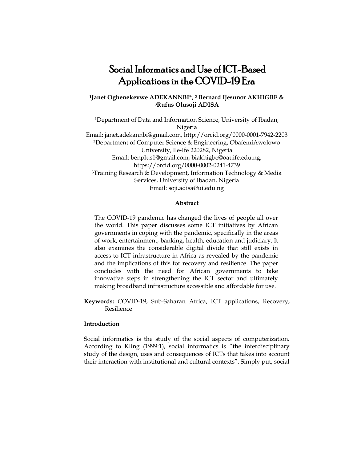# Social Informatics and Use of ICT-Based Applications in the COVID-19 Era

# **<sup>1</sup>Janet Oghenekevwe ADEKANNBI\*, <sup>2</sup> Bernard Ijesunor AKHIGBE & <sup>3</sup>Rufus Olusoji ADISA**

<sup>1</sup>Department of Data and Information Science, University of Ibadan, Nigeria Email: [janet.adekannbi@gmail.com,](mailto:janet.adekannbi@gmail.com) http://orcid.org/0000-0001-7942-2203 <sup>2</sup>Department of Computer Science & Engineering, ObafemiAwolowo University, Ile‐Ife 220282, Nigeria Email: benplus1@gmail.com[; biakhigbe@oauife.edu.ng,](mailto:biakhigbe@oauife.edu.ng) https://orcid.org/0000-0002-0241-4739 <sup>3</sup>Training Research & Development, Information Technology & Media Services, University of Ibadan, Nigeria Email: soji.adisa@ui.edu.ng

#### **Abstract**

The COVID-19 pandemic has changed the lives of people all over the world. This paper discusses some ICT initiatives by African governments in coping with the pandemic, specifically in the areas of work, entertainment, banking, health, education and judiciary. It also examines the considerable digital divide that still exists in access to ICT infrastructure in Africa as revealed by the pandemic and the implications of this for recovery and resilience. The paper concludes with the need for African governments to take innovative steps in strengthening the ICT sector and ultimately making broadband infrastructure accessible and affordable for use.

**Keywords:** COVID-19, Sub-Saharan Africa, ICT applications, Recovery, Resilience

## **Introduction**

Social informatics is the study of the social aspects of computerization. According to Kling (1999:1), social informatics is "the interdisciplinary study of the design, uses and consequences of ICTs that takes into account their interaction with institutional and cultural contexts". Simply put, social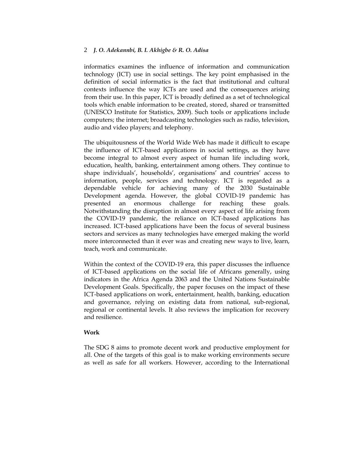informatics examines the influence of information and communication technology (ICT) use in social settings. The key point emphasised in the definition of social informatics is the fact that institutional and cultural contexts influence the way ICTs are used and the consequences arising from their use. In this paper, ICT is broadly defined as a set of technological tools which enable information to be created, stored, shared or transmitted [\(UNESCO Institute for Statistics,](https://ictlogy.net/bibliography/reports/contacts.php?idc=1017) 2009). Such tools or applications include computers; the internet; broadcasting technologies such as radio, television, audio and video players; and telephony.

The ubiquitousness of the World Wide Web has made it difficult to escape the influence of ICT-based applications in social settings, as they have become integral to almost every aspect of human life including work, education, health, banking, entertainment among others. They continue to shape individuals', households', organisations' and countries' access to information, people, services and technology. ICT is regarded as a dependable vehicle for achieving many of the 2030 Sustainable Development agenda. However, the global COVID-19 pandemic has presented an enormous challenge for reaching these goals. Notwithstanding the disruption in almost every aspect of life arising from the COVID-19 pandemic, the reliance on ICT-based applications has increased. ICT-based applications have been the focus of several business sectors and services as many technologies have emerged making the world more interconnected than it ever was and creating new ways to live, learn, teach, work and communicate.

Within the context of the COVID-19 era, this paper discusses the influence of ICT-based applications on the social life of Africans generally, using indicators in the Africa Agenda 2063 and the United Nations Sustainable Development Goals. Specifically, the paper focuses on the impact of these ICT-based applications on work, entertainment, health, banking, education and governance, relying on existing data from national, sub-regional, regional or continental levels. It also reviews the implication for recovery and resilience.

## **Work**

The SDG 8 aims to promote decent work and productive employment for all. One of the targets of this goal is to make working environments secure as well as safe for all workers. However, according to the International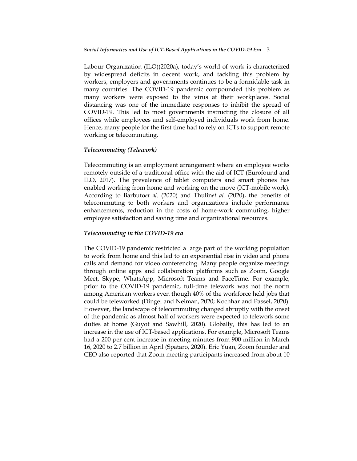Labour Organization (ILO)(2020a), today"s world of work is characterized by widespread deficits in decent work, and tackling this problem by workers, employers and governments continues to be a formidable task in many countries. The COVID-19 pandemic compounded this problem as many workers were exposed to the virus at their workplaces. Social distancing was one of the immediate responses to inhibit the spread of COVID-19. This led to most governments instructing the closure of all offices while employees and self-employed individuals work from home. Hence, many people for the first time had to rely on ICTs to support remote working or telecommuting.

## *Telecommuting (Telework)*

Telecommuting is an employment arrangement where an employee works remotely outside of a traditional office with the aid of ICT (Eurofound and ILO, 2017). The prevalence of tablet computers and smart phones has enabled working from home and working on the move (ICT-mobile work). According to Barbuto*et al.* (2020) and Thulin*et al.* (2020), the benefits of telecommuting to both workers and organizations include performance enhancements, reduction in the costs of home-work commuting, higher employee satisfaction and saving time and organizational resources.

#### *Telecommuting in the COVID-19 era*

The COVID-19 pandemic restricted a large part of the working population to work from home and this led to an exponential rise in video and phone calls and demand for video conferencing. Many people organize meetings through online apps and collaboration platforms such as Zoom, Google Meet, Skype, WhatsApp, Microsoft Teams and FaceTime. For example, prior to the COVID-19 pandemic, full-time telework was not the norm among American workers even though 40% of the workforce held jobs that could be teleworked (Dingel and Neiman, 2020; Kochhar and Passel, 2020). However, the landscape of telecommuting changed abruptly with the onset of the pandemic as almost half of workers were expected to telework some duties at home (Guyot and Sawhill, 2020). Globally, this has led to an increase in the use of ICT-based applications. For example, Microsoft Teams had a 200 per cent increase in meeting minutes from 900 million in March 16, 2020 to 2.7 billion in April (Spataro, 2020). Eric Yuan, Zoom founder and CEO also reported that Zoom meeting participants increased from about 10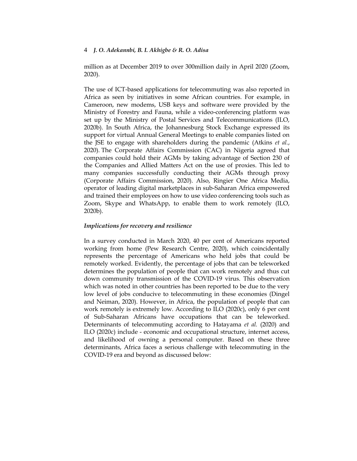million as at December 2019 to over 300million daily in April 2020 (Zoom, 2020).

The use of ICT-based applications for telecommuting was also reported in Africa as seen by initiatives in some African countries. For example, in Cameroon, new modems, USB keys and software were provided by the Ministry of Forestry and Fauna, while a video-conferencing platform was set up by the Ministry of Postal Services and Telecommunications (ILO, 2020b). In South Africa, the Johannesburg Stock Exchange expressed its support for virtual Annual General Meetings to enable companies listed on the JSE to engage with shareholders during the pandemic (Atkins *et al.*, 2020). The Corporate Affairs Commission (CAC) in Nigeria agreed that companies could hold their AGMs by taking advantage of Section 230 of the Companies and Allied Matters Act on the use of proxies. This led to many companies successfully conducting their AGMs through proxy (Corporate Affairs Commission, 2020). Also, Ringier One Africa Media, operator of leading digital marketplaces in sub-Saharan Africa empowered and trained their employees on how to use video conferencing tools such as Zoom, Skype and WhatsApp, to enable them to work remotely (ILO, 2020b).

## *Implications for recovery and resilience*

In a survey conducted in March 2020, 40 per cent of Americans reported working from home (Pew Research Centre, 2020), which coincidentally represents the percentage of Americans who held jobs that could be remotely worked. Evidently, the percentage of jobs that can be teleworked determines the population of people that can work remotely and thus cut down community transmission of the COVID-19 virus. This observation which was noted in other countries has been reported to be due to the very low level of jobs conducive to telecommuting in these economies (Dingel and Neiman, 2020). However, in Africa, the population of people that can work remotely is extremely low. According to ILO (2020c), only 6 per cent of Sub-Saharan Africans have occupations that can be teleworked. Determinants of telecommuting according to Hatayama *et al.* (2020) and ILO (2020c) include - economic and occupational structure, internet access, and likelihood of owning a personal computer. Based on these three determinants, Africa faces a serious challenge with telecommuting in the COVID-19 era and beyond as discussed below: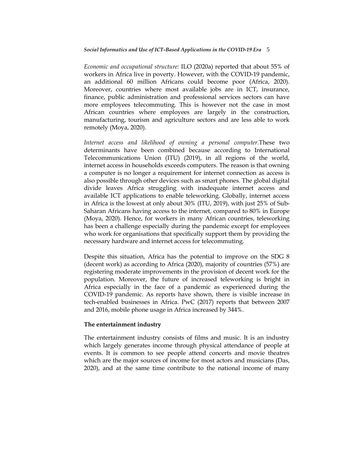#### *Social Informatics and Use of ICT-Based Applications in the COVID-19 Era* 5

*Economic and occupational structure:* ILO (2020a) reported that about 55% of workers in Africa live in poverty. However, with the COVID-19 pandemic, an additional 60 million Africans could become poor (Africa, 2020). Moreover, countries where most available jobs are in ICT, insurance, finance, public administration and professional services sectors can have more employees telecommuting. This is however not the case in most African countries where employees are largely in the construction, manufacturing, tourism and agriculture sectors and are less able to work remotely (Moya, 2020).

*Internet access and likelihood of owning a personal computer.*These two determinants have been combined because according to International Telecommunications Union (ITU) (2019), in all regions of the world, internet access in households exceeds computers. The reason is that owning a computer is no longer a requirement for internet connection as access is also possible through other devices such as smart phones. The global digital divide leaves Africa struggling with inadequate internet access and available ICT applications to enable teleworking. Globally, internet access in Africa is the lowest at only about 30% (ITU, 2019), with just 25% of Sub-Saharan Africans having access to the internet, compared to 80% in Europe (Moya, 2020). Hence, for workers in many African countries, teleworking has been a challenge especially during the pandemic except for employees who work for organisations that specifically support them by providing the necessary hardware and internet access for telecommuting.

Despite this situation, Africa has the potential to improve on the SDG 8 (decent work) as according to Africa (2020), majority of countries (57%) are registering moderate improvements in the provision of decent work for the population. Moreover, the future of increased teleworking is bright in Africa especially in the face of a pandemic as experienced during the COVID-19 pandemic. As reports have shown, there is visible increase in tech-enabled businesses in Africa. PwC (2017) reports that between 2007 and 2016, mobile phone usage in Africa increased by 344%.

#### **The entertainment industry**

The entertainment industry consists of films and music. It is an industry which largely generates income through physical attendance of people at events. It is common to see people attend concerts and movie theatres which are the major sources of income for most actors and musicians (Das, 2020), and at the same time contribute to the national income of many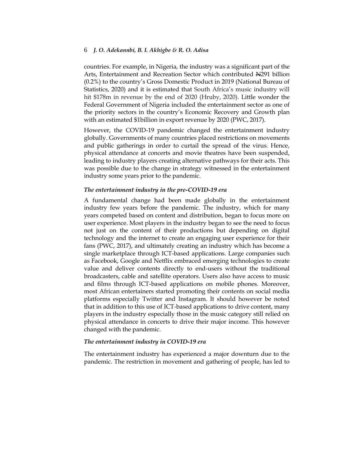countries. For example, in Nigeria, the industry was a significant part of the Arts, Entertainment and Recreation Sector which contributed N291 billion (0.2%) to the country"s Gross Domestic Product in 2019 (National Bureau of Statistics, 2020) and it is estimated that South Africa"s music industry will hit \$178m in revenue by the end of 2020 (Hruby, 2020). Little wonder the Federal Government of Nigeria included the entertainment sector as one of the priority sectors in the country"s Economic Recovery and Growth plan with an estimated \$1billion in export revenue by 2020 (PWC, 2017).

However, the COVID-19 pandemic changed the entertainment industry globally. Governments of many countries placed restrictions on movements and public gatherings in order to curtail the spread of the virus. Hence, physical attendance at concerts and movie theatres have been suspended, leading to industry players creating alternative pathways for their acts. This was possible due to the change in strategy witnessed in the entertainment industry some years prior to the pandemic.

#### *The entertainment industry in the pre-COVID-19 era*

A fundamental change had been made globally in the entertainment industry few years before the pandemic. The industry, which for many years competed based on content and distribution, began to focus more on user experience. Most players in the industry began to see the need to focus not just on the content of their productions but depending on digital technology and the internet to create an engaging user experience for their fans (PWC, 2017), and ultimately creating an industry which has become a single marketplace through ICT-based applications. Large companies such as Facebook, Google and Netflix embraced emerging technologies to create value and deliver contents directly to end-users without the traditional broadcasters, cable and satellite operators. Users also have access to music and films through ICT-based applications on mobile phones. Moreover, most African entertainers started promoting their contents on social media platforms especially Twitter and Instagram. It should however be noted that in addition to this use of ICT-based applications to drive content, many players in the industry especially those in the music category still relied on physical attendance in concerts to drive their major income. This however changed with the pandemic.

#### *The entertainment industry in COVID-19 era*

The entertainment industry has experienced a major downturn due to the pandemic. The restriction in movement and gathering of people, has led to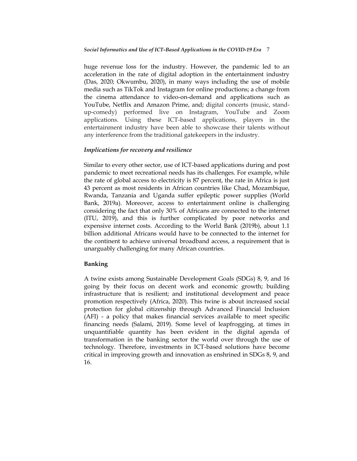huge revenue loss for the industry. However, the pandemic led to an acceleration in the rate of digital adoption in the entertainment industry (Das, 2020; Okwumbu, 2020), in many ways including the use of mobile media such as TikTok and Instagram for online productions; a change from the cinema attendance to video-on-demand and applications such as YouTube, Netflix and Amazon Prime, and; digital concerts (music, standup-comedy) performed live on Instagram, YouTube and Zoom applications. Using these ICT-based applications, players in the entertainment industry have been able to showcase their talents without any interference from the traditional gatekeepers in the industry.

## *Implications for recovery and resilience*

Similar to every other sector, use of ICT-based applications during and post pandemic to meet recreational needs has its challenges. For example, while the rate of global access to electricity is 87 percent, the rate in Africa is just 43 percent as most residents in African countries like Chad, Mozambique, Rwanda, Tanzania and Uganda suffer epileptic power supplies (World Bank, 2019a). Moreover, access to entertainment online is challenging considering the fact that only 30% of Africans are connected to the internet (ITU, 2019), and this is further complicated by poor networks and expensive internet costs. According to the World Bank (2019b), about 1.1 billion additional Africans would have to be connected to the internet for the continent to achieve universal broadband access, a requirement that is unarguably challenging for many African countries.

## **Banking**

A twine exists among Sustainable Development Goals (SDGs) 8, 9, and 16 going by their focus on decent work and economic growth; building infrastructure that is resilient; and institutional development and peace promotion respectively (Africa, 2020). This twine is about increased social protection for global citizenship through Advanced Financial Inclusion (AFI) - a policy that makes financial services available to meet specific financing needs (Salami, 2019). Some level of leapfrogging, at times in unquantifiable quantity has been evident in the digital agenda of transformation in the banking sector the world over through the use of technology. Therefore, investments in ICT-based solutions have become critical in improving growth and innovation as enshrined in SDGs 8, 9, and 16.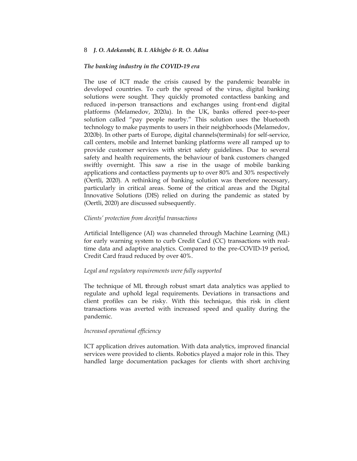## *The banking industry in the COVID-19 era*

The use of ICT made the crisis caused by the pandemic bearable in developed countries. To curb the spread of the virus, digital banking solutions were sought. They quickly promoted contactless banking and reduced in-person transactions and exchanges using front-end digital platforms (Melamedov, 2020a). In the UK, banks offered peer-to-peer solution called "pay people nearby." This solution uses the bluetooth technology to make payments to users in their neighborhoods (Melamedov, 2020b). In other parts of Europe, digital channels(terminals) for self-service, call centers, mobile and Internet banking platforms were all ramped up to provide customer services with strict safety guidelines. Due to several safety and health requirements, the behaviour of bank customers changed swiftly overnight. This saw a rise in the usage of mobile banking applications and contactless payments up to over 80% and 30% respectively (Oertli, 2020). A rethinking of banking solution was therefore necessary, particularly in critical areas. Some of the critical areas and the Digital Innovative Solutions (DIS) relied on during the pandemic as stated by (Oertli, 2020) are discussed subsequently.

### *Clients' protection from deceitful transactions*

Artificial Intelligence (AI) was channeled through Machine Learning (ML) for early warning system to curb Credit Card (CC) transactions with realtime data and adaptive analytics. Compared to the pre-COVID-19 period, Credit Card fraud reduced by over 40%.

#### *Legal and regulatory requirements were fully supported*

The technique of ML **t**hrough robust smart data analytics was applied to regulate and uphold legal requirements. Deviations in transactions and client profiles can be risky. With this technique, this risk in client transactions was averted with increased speed and quality during the pandemic.

#### *Increased operational efficiency*

ICT application drives automation. With data analytics, improved financial services were provided to clients. Robotics played a major role in this. They handled large documentation packages for clients with short archiving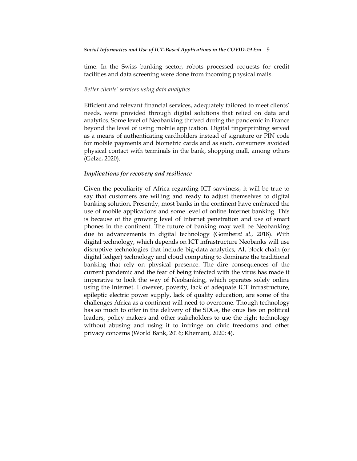time. In the Swiss banking sector, robots processed requests for credit facilities and data screening were done from incoming physical mails.

# *Better clients' services using data analytics*

Efficient and relevant financial services, adequately tailored to meet clients' needs, were provided through digital solutions that relied on data and analytics. Some level of Neobanking thrived during the pandemic in France beyond the level of using mobile application. Digital fingerprinting served as a means of authenticating cardholders instead of signature or PIN code for mobile payments and biometric cards and as such, consumers avoided physical contact with terminals in the bank, shopping mall, among others (Gelze, 2020).

#### *Implications for recovery and resilience*

Given the peculiarity of Africa regarding ICT savviness, it will be true to say that customers are willing and ready to adjust themselves to digital banking solution. Presently, most banks in the continent have embraced the use of mobile applications and some level of online Internet banking. This is because of the growing level of Internet penetration and use of smart phones in the continent. The future of banking may well be Neobanking due to advancements in digital technology (Gomber*et al.,* 2018). With digital technology, which depends on ICT infrastructure Neobanks will use disruptive technologies that include big-data analytics, AI, block chain (or digital ledger) technology and cloud computing to dominate the traditional banking that rely on physical presence. The dire consequences of the current pandemic and the fear of being infected with the virus has made it imperative to look the way of Neobanking, which operates solely online using the Internet. However, poverty, lack of adequate ICT infrastructure, epileptic electric power supply, lack of quality education, are some of the challenges Africa as a continent will need to overcome. Though technology has so much to offer in the delivery of the SDGs, the onus lies on political leaders, policy makers and other stakeholders to use the right technology without abusing and using it to infringe on civic freedoms and other privacy concerns (World Bank, 2016; Khemani, 2020: 4).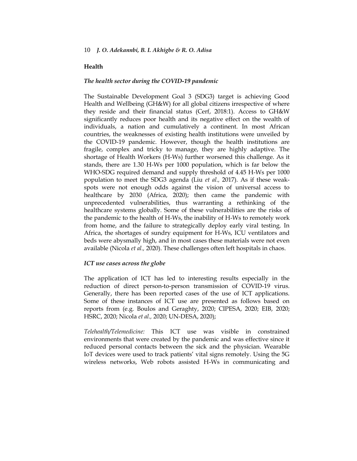# **Health**

## *The health sector during the COVID-19 pandemic*

The Sustainable Development Goal 3 (SDG3) target is achieving Good Health and Wellbeing (GH&W) for all global citizens irrespective of where they reside and their financial status (Cerf, 2018:1). Access to GH&W significantly reduces poor health and its negative effect on the wealth of individuals, a nation and cumulatively a continent. In most African countries, the weaknesses of existing health institutions were unveiled by the COVID-19 pandemic. However, though the health institutions are fragile, complex and tricky to manage, they are highly adaptive. The shortage of Health Workers (H-Ws) further worsened this challenge. As it stands, there are 1.30 H-Ws per 1000 population, which is far below the WHO-SDG required demand and supply threshold of 4.45 H-Ws per 1000 population to meet the SDG3 agenda (Liu *et al.,* 2017). As if these weakspots were not enough odds against the vision of universal access to healthcare by 2030 (Africa, 2020); then came the pandemic with unprecedented vulnerabilities, thus warranting a rethinking of the healthcare systems globally. Some of these vulnerabilities are the risks of the pandemic to the health of H-Ws, the inability of H-Ws to remotely work from home, and the failure to strategically deploy early viral testing. In Africa, the shortages of sundry equipment for H-Ws, ICU ventilators and beds were abysmally high, and in most cases these materials were not even available (Nicola *et al.,* 2020). These challenges often left hospitals in chaos.

## *ICT use cases across the globe*

The application of ICT has led to interesting results especially in the reduction of direct person-to-person transmission of COVID-19 virus. Generally, there has been reported cases of the use of ICT applications. Some of these instances of ICT use are presented as follows based on reports from (e.g. Boulos and Geraghty, 2020; CIPESA, 2020; EIB, 2020; HSRC, 2020; Nicola *et al.,* 2020; UN-DESA, 2020);

*Telehealth/Telemedicine:* This ICT use was visible in constrained environments that were created by the pandemic and was effective since it reduced personal contacts between the sick and the physician. Wearable IoT devices were used to track patients" vital signs remotely. Using the 5G wireless networks, Web robots assisted H-Ws in communicating and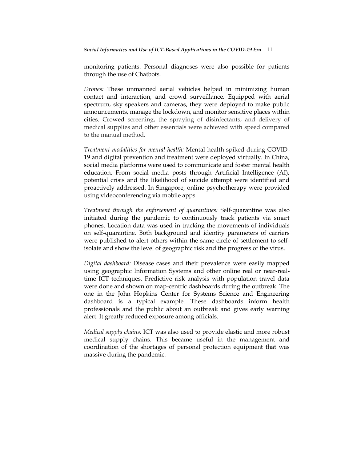monitoring patients. Personal diagnoses were also possible for patients through the use of Chatbots.

*Drones:* These unmanned aerial vehicles helped in minimizing human contact and interaction, and crowd surveillance. Equipped with aerial spectrum, sky speakers and cameras, they were deployed to make public announcements, manage the lockdown, and monitor sensitive places within cities. Crowed screening, the spraying of disinfectants, and delivery of medical supplies and other essentials were achieved with speed compared to the manual method.

*Treatment modalities for mental health:* Mental health spiked during COVID-19 and digital prevention and treatment were deployed virtually. In China, social media platforms were used to communicate and foster mental health education. From social media posts through Artificial Intelligence (AI), potential crisis and the likelihood of suicide attempt were identified and proactively addressed. In Singapore, online psychotherapy were provided using videoconferencing via mobile apps.

*Treatment through the enforcement of quarantines:* Self-quarantine was also initiated during the pandemic to continuously track patients via smart phones. Location data was used in tracking the movements of individuals on self-quarantine. Both background and identity parameters of carriers were published to alert others within the same circle of settlement to selfisolate and show the level of geographic risk and the progress of the virus.

*Digital dashboard:* Disease cases and their prevalence were easily mapped using geographic Information Systems and other online real or near-realtime ICT techniques. Predictive risk analysis with population travel data were done and shown on map-centric dashboards during the outbreak. The one in the John Hopkins Center for Systems Science and Engineering dashboard is a typical example. These dashboards inform health professionals and the public about an outbreak and gives early warning alert. It greatly reduced exposure among officials.

*Medical supply chains:* ICT was also used to provide elastic and more robust medical supply chains. This became useful in the management and coordination of the shortages of personal protection equipment that was massive during the pandemic.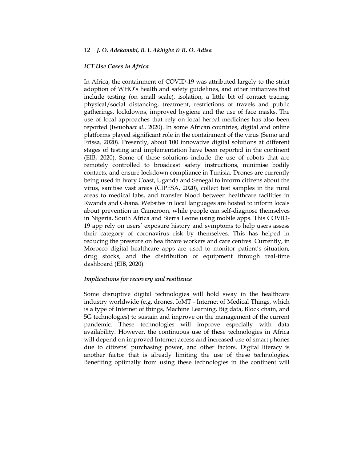#### *ICT Use Cases in Africa*

In Africa, the containment of COVID-19 was attributed largely to the strict adoption of WHO"s health and safety guidelines, and other initiatives that include testing (on small scale), isolation, a little bit of contact tracing, physical/social distancing, treatment, restrictions of travels and public gatherings, lockdowns, improved hygiene and the use of face masks. The use of local approaches that rely on local herbal medicines has also been reported (Iwuoha*et al.,* 2020). In some African countries, digital and online platforms played significant role in the containment of the virus (Semo and Frissa*,* 2020). Presently, about 100 innovative digital solutions at different stages of testing and implementation have been reported in the continent (EIB, 2020). Some of these solutions include the use of robots that are remotely controlled to broadcast safety instructions, minimise bodily contacts, and ensure lockdown compliance in Tunisia. Drones are currently being used in Ivory Coast, Uganda and Senegal to inform citizens about the virus, sanitise vast areas (CIPESA, 2020), collect test samples in the rural areas to medical labs, and transfer blood between healthcare facilities in Rwanda and Ghana. Websites in local languages are hosted to inform locals about prevention in Cameroon, while people can self-diagnose themselves in Nigeria, South Africa and Sierra Leone using mobile apps. This COVID-19 app rely on users" exposure history and symptoms to help users assess their category of coronavirus risk by themselves. This has helped in reducing the pressure on healthcare workers and care centres. Currently, in Morocco digital healthcare apps are used to monitor patient's situation, drug stocks, and the distribution of equipment through real-time dashboard (EIB, 2020).

## *Implications for recovery and resilience*

Some disruptive digital technologies will hold sway in the healthcare industry worldwide (e.g. drones, IoMT - Internet of Medical Things, which is a type of Internet of things, Machine Learning, Big data, Block chain, and 5G technologies) to sustain and improve on the management of the current pandemic. These technologies will improve especially with data availability. However, the continuous use of these technologies in Africa will depend on improved Internet access and increased use of smart phones due to citizens' purchasing power, and other factors. Digital literacy is another factor that is already limiting the use of these technologies. Benefiting optimally from using these technologies in the continent will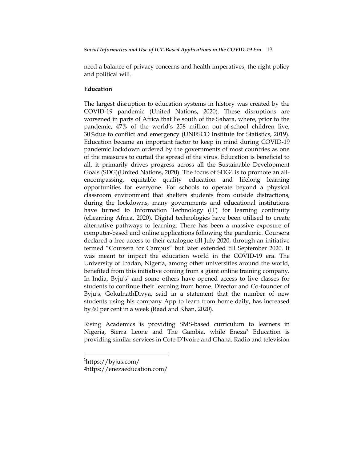need a balance of privacy concerns and health imperatives, the right policy and political will.

# **Education**

The largest disruption to education systems in history was created by the COVID-19 pandemic (United Nations, 2020). These disruptions are worsened in parts of Africa that lie south of the Sahara, where, prior to the pandemic, 47% of the world's 258 million out-of-school children live, 30%due to conflict and emergency (UNESCO Institute for Statistics, 2019). Education became an important factor to keep in mind during COVID-19 pandemic lockdown ordered by the governments of most countries as one of the measures to curtail the spread of the virus. Education is beneficial to all, it primarily drives progress across all the Sustainable Development Goals (SDG)(United Nations, 2020). The focus of SDG4 is to promote an allencompassing, equitable quality education and lifelong learning opportunities for everyone. For schools to operate beyond a physical classroom environment that shelters students from outside distractions, during the lockdowns, many governments and educational institutions have turned to Information Technology (IT) for learning continuity (eLearning Africa, 2020). Digital technologies have been utilised to create alternative pathways to learning. There has been a massive exposure of computer-based and online applications following the pandemic. Coursera declared a free access to their catalogue till July 2020, through an initiative termed "Coursera for Campus" but later extended till September 2020. It was meant to impact the education world in the COVID-19 era. The University of Ibadan, Nigeria, among other universities around the world, benefited from this initiative coming from a giant online training company. In India, Byju's<sup>1</sup> and some others have opened access to live classes for students to continue their learning from home. Director and Co-founder of Byju's, GokulnathDivya, said in a statement that the number of new students using his company App to learn from home daily, has increased by 60 per cent in a week (Raad and Khan, 2020).

Rising Academics is providing SMS-based curriculum to learners in Nigeria, Sierra Leone and The Gambia, while Eneza<sup>2</sup> Education is providing similar services in Cote D"Ivoire and Ghana. Radio and television

 $\overline{\phantom{a}}$ 

<sup>1</sup> <https://byjus.com/>

<sup>2</sup><https://enezaeducation.com/>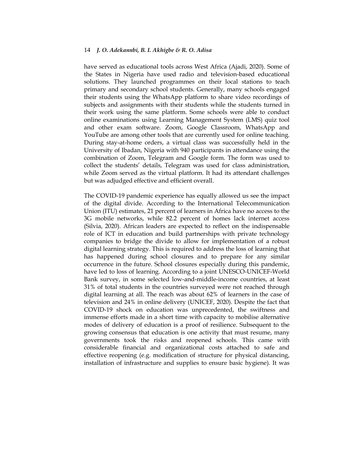have served as educational tools across West Africa (Ajadi, 2020). Some of the States in Nigeria have used radio and television-based educational solutions. They launched programmes on their local stations to teach primary and secondary school students. Generally, many schools engaged their students using the WhatsApp platform to share video recordings of subjects and assignments with their students while the students turned in their work using the same platform. Some schools were able to conduct online examinations using Learning Management System (LMS) quiz tool and other exam software. Zoom, Google Classroom, WhatsApp and YouTube are among other tools that are currently used for online teaching. During stay-at-home orders, a virtual class was successfully held in the University of Ibadan, Nigeria with 940 participants in attendance using the combination of Zoom, Telegram and Google form. The form was used to collect the students" details, Telegram was used for class administration, while Zoom served as the virtual platform. It had its attendant challenges but was adjudged effective and efficient overall.

The COVID-19 pandemic experience has equally allowed us see the impact of the digital divide. According to the International Telecommunication Union (ITU) estimates, 21 percent of learners in Africa have no access to the 3G mobile networks, while 82.2 percent of homes lack internet access (Silvia, 2020). African leaders are expected to reflect on the indispensable role of ICT in education and build partnerships with private technology companies to bridge the divide to allow for implementation of a robust digital learning strategy. This is required to address the loss of learning that has happened during school closures and to prepare for any similar occurrence in the future. School closures especially during this pandemic, have led to loss of learning. According to a joint UNESCO-UNICEF-World Bank survey, in some selected low-and-middle-income countries, at least 31% of total students in the countries surveyed were not reached through digital learning at all. The reach was about 62% of learners in the case of television and 24% in online delivery (UNICEF, 2020). Despite the fact that COVID-19 shock on education was unprecedented, the swiftness and immense efforts made in a short time with capacity to mobilise alternative modes of delivery of education is a proof of resilience. Subsequent to the growing consensus that education is one activity that must resume, many governments took the risks and reopened schools. This came with considerable financial and organizational costs attached to safe and effective reopening (e.g. modification of structure for physical distancing, installation of infrastructure and supplies to ensure basic hygiene). It was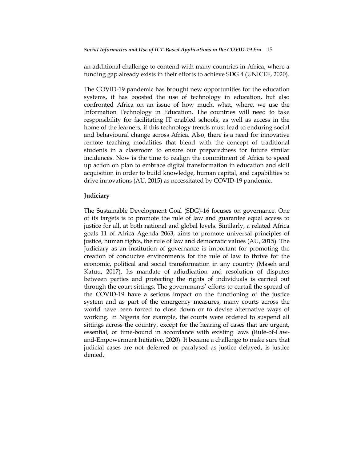an additional challenge to contend with many countries in Africa, where a funding gap already exists in their efforts to achieve SDG 4 (UNICEF, 2020).

The COVID-19 pandemic has brought new opportunities for the education systems, it has boosted the use of technology in education, but also confronted Africa on an issue of how much, what, where, we use the Information Technology in Education. The countries will need to take responsibility for facilitating IT enabled schools, as well as access in the home of the learners, if this technology trends must lead to enduring social and behavioural change across Africa. Also, there is a need for innovative remote teaching modalities that blend with the concept of traditional students in a classroom to ensure our preparedness for future similar incidences. Now is the time to realign the commitment of Africa to speed up action on plan to embrace digital transformation in education and skill acquisition in order to build knowledge, human capital, and capabilities to drive innovations (AU, 2015) as necessitated by COVID-19 pandemic.

#### **Judiciary**

The Sustainable Development Goal (SDG)-16 focuses on governance. One of its targets is to promote the rule of law and guarantee equal access to justice for all, at both national and global levels. Similarly, a related Africa goals 11 of Africa Agenda 2063, aims to promote universal principles of justice, human rights, the rule of law and democratic values (AU, 2015). The Judiciary as an institution of governance is important for promoting the creation of conducive environments for the rule of law to thrive for the economic, political and social transformation in any country (Maseh and Katuu, 2017). Its mandate of adjudication and resolution of disputes between parties and protecting the rights of individuals is carried out through the court sittings. The governments" efforts to curtail the spread of the COVID-19 have a serious impact on the functioning of the justice system and as part of the emergency measures, many courts across the world have been forced to close down or to devise alternative ways of working. In Nigeria for example, the courts were ordered to suspend all sittings across the country, except for the hearing of cases that are urgent, essential, or time-bound in accordance with existing laws (Rule-of-Lawand-Empowerment Initiative, 2020). It became a challenge to make sure that judicial cases are not deferred or paralysed as justice delayed, is justice denied.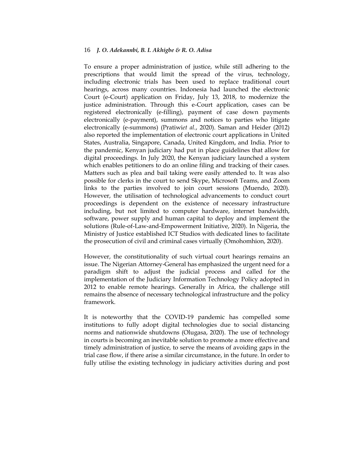To ensure a proper administration of justice, while still adhering to the prescriptions that would limit the spread of the virus, technology, including electronic trials has been used to replace traditional court hearings, across many countries. Indonesia had launched the electronic Court (e-Court) application on Friday, July 13, 2018, to modernize the justice administration. Through this e-Court application, cases can be registered electronically (e-filling), payment of case down payments electronically (e-payment), summons and notices to parties who litigate electronically (e-summons) (Pratiwi*et al.*, 2020). Saman and Heider (2012) also reported the implementation of electronic court applications in United States, Australia, Singapore, Canada, United Kingdom, and India. Prior to the pandemic, Kenyan judiciary had put in place guidelines that allow for digital proceedings. In July 2020, the Kenyan judiciary launched a system which enables petitioners to do an online filing and tracking of their cases. Matters such as plea and bail taking were easily attended to. It was also possible for clerks in the court to send Skype, Microsoft Teams, and Zoom links to the parties involved to join court sessions (Muendo, 2020). However, the utilisation of technological advancements to conduct court proceedings is dependent on the existence of necessary infrastructure including, but not limited to computer hardware, internet bandwidth, software, power supply and human capital to deploy and implement the solutions (Rule-of-Law-and-Empowerment Initiative, 2020). In Nigeria, the Ministry of Justice established ICT Studios with dedicated lines to facilitate the prosecution of civil and criminal cases virtually (Omohomhion, 2020).

However, the constitutionality of such virtual court hearings remains an issue. The Nigerian Attorney-General has emphasized the urgent need for a paradigm shift to adjust the judicial process and called for the implementation of the Judiciary Information Technology Policy adopted in 2012 to enable remote hearings. Generally in Africa, the challenge still remains the absence of necessary technological infrastructure and the policy framework.

It is noteworthy that the COVID-19 pandemic has compelled some institutions to fully adopt digital technologies due to social distancing norms and nationwide shutdowns (Olugasa, 2020). The use of technology in courts is becoming an inevitable solution to promote a more effective and timely administration of justice, to serve the means of avoiding gaps in the trial case flow, if there arise a similar circumstance, in the future. In order to fully utilise the existing technology in judiciary activities during and post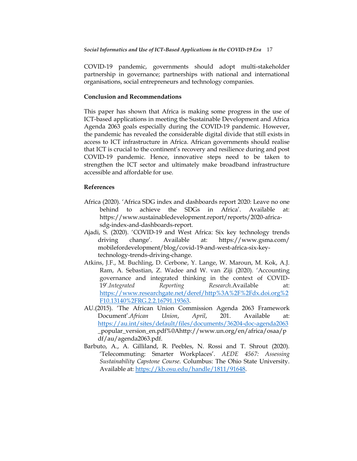COVID-19 pandemic, governments should adopt multi-stakeholder partnership in governance; partnerships with national and international organisations, social entrepreneurs and technology companies.

## **Conclusion and Recommendations**

This paper has shown that Africa is making some progress in the use of ICT-based applications in meeting the Sustainable Development and Africa Agenda 2063 goals especially during the COVID-19 pandemic. However, the pandemic has revealed the considerable digital divide that still exists in access to ICT infrastructure in Africa. African governments should realise that ICT is crucial to the continent's recovery and resilience during and post COVID-19 pandemic. Hence, innovative steps need to be taken to strengthen the ICT sector and ultimately make broadband infrastructure accessible and affordable for use.

### **References**

- Africa (2020). "Africa SDG index and dashboards report 2020: Leave no one behind to achieve the SDGs in Africa'. Available at: https://www.sustainabledevelopment.report/reports/2020-africasdg-index-and-dashboards-report.
- Ajadi, S. (2020). "COVID-19 and West Africa: Six key technology trends driving change". Available at: <https://www.gsma.com/> mobilefordevelopment/blog/covid-19-and-west-africa-six-keytechnology-trends-driving-change.
- Atkins, J.F., M. Buchling, D. Cerbone, Y. Lange, W. Maroun, M. Kok, A.J. Ram, A. Sebastian, Z. Wadee and W. van Ziji (2020). "Accounting governance and integrated thinking in the context of COVID-19".*Integrated Reporting Research.*Available at: [https://www.researchgate.net/deref/http%3A%2F%2Fdx.doi.org%2](https://www.researchgate.net/deref/http%3A%2F%2Fdx.doi.org%2F10.13140%2FRG.2.2.16791.19363) [F10.13140%2FRG.2.2.16791.19363.](https://www.researchgate.net/deref/http%3A%2F%2Fdx.doi.org%2F10.13140%2FRG.2.2.16791.19363)
- AU.(2015). "The African Union Commission Agenda 2063 Framework Document".*African Union*, *April*, 201. Available at: <https://au.int/sites/default/files/documents/36204-doc-agenda2063> \_popular\_version\_en.pdf%0Ahttp://www.un.org/en/africa/osaa/p df/au/agenda2063.pdf.
- Barbuto, A., A. Gilliland, R. Peebles, N. Rossi and T. Shrout (2020). "Telecommuting: Smarter Workplaces". *AEDE 4567: Assessing Sustainability Capstone Course*. Columbus: The Ohio State University. Available at: [https://kb.osu.edu/handle/1811/91648.](https://kb.osu.edu/handle/1811/91648)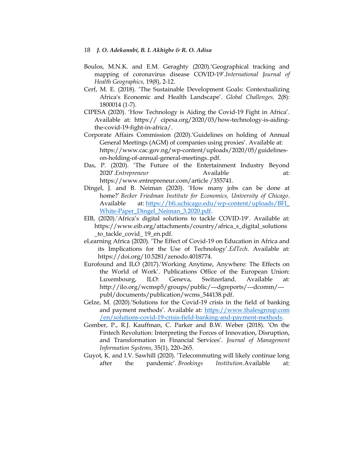- Boulos, M.N.K. and E.M. Geraghty (2020).'Geographical tracking and mapping of coronavirus disease COVID-19".*International Journal of Health Geographics,* 19(8), 2-12.
- Cerf, M. E. (2018). "The Sustainable Development Goals: Contextualizing Africa's Economic and Health Landscape'. *Global Challenges*, 2(8): 1800014 (1-7).
- CIPESA (2020). "How Technology is Aiding the Covid-19 Fight in Africa". Available at: https:// cipesa.org/2020/03/how-technology-is-aidingthe-covid-19-fight-in-africa/.
- Corporate Affairs Commission (2020)."Guidelines on holding of Annual General Meetings (AGM) of companies using proxies'. Available at: [https://www.cac.gov.ng/wp-content/uploads/2020/05/guidelines](https://www.cac.gov.ng/wp-content/uploads/2020/05/GUIDELINES-ON-HOLDING-OF-ANNUAL-GENERAL-MEETINGS..pdf)[on-holding-of-annual-general-meetings..pdf.](https://www.cac.gov.ng/wp-content/uploads/2020/05/GUIDELINES-ON-HOLDING-OF-ANNUAL-GENERAL-MEETINGS..pdf)
- Das, P. (2020). "The Future of the Entertainment Industry Beyond 2020'.*Entrepreneur* Available at: [https://www.entrepreneur.com/article /355741.](https://www.entrepreneur.com/article%20/355741)
- Dingel, J. and B. Neiman (2020). "How many jobs can be done at home?" *Becker Friedman Institute for Economics, University of Chicago*. Available at: https://bfi.uchicago.edu/wp-content/uploads/BFI\_ [White-Paper\\_Dingel\\_Neiman\\_3.2020.pdf.](https://bfi.uchicago.edu/wp-content/uploads/BFI_%20White-Paper_Dingel_Neiman_3.2020.pdf)
- EIB, (2020).'Africa's digital solutions to tackle COVID-19'. Available at: [https://www.eib.org/attachments/](https://www.eib.org/attachments)country/africa\_s\_digital\_solutions \_to\_tackle\_covid\_ 19\_en.pdf.
- eLearning Africa (2020). "The Effect of Covid-19 on Education in Africa and its Implications for the Use of Technology'.*EdTech*. Available at: https://doi.org/10.5281/zenodo.4018774.
- Eurofound and ILO (2017)."Working Anytime, Anywhere: The Effects on the World of Work". Publications Office of the European Union: Luxembourg, ILO: Geneva, Switzerland. Available at: [http://ilo.org/wcmsp5/groups/public/---dgreports/---dcomm/--](http://ilo.org/wcmsp5/groups/public/---dgreports/---dcomm/---publ/documents/publication/wcms_544138.pdf) [publ/documents/publication/wcms\\_544138.pdf](http://ilo.org/wcmsp5/groups/public/---dgreports/---dcomm/---publ/documents/publication/wcms_544138.pdf).
- Gelze, M. (2020). Solutions for the Covid-19 crisis in the field of banking and payment methods'. Available at: https://www.thalesgroup.com /en/solutions-covid-19-crisis-field-banking-and-payment-methods.
- Gomber, P., R.J. Kauffman, C. Parker and B.W. Weber (2018). "On the Fintech Revolution: Interpreting the Forces of Innovation, Disruption, and Transformation in Financial Services". *Journal of Management Information Systems*, 35(1), 220–265.
- Guyot, K. and I.V. Sawhill (2020). "Telecommuting will likely continue long after the pandemic". *Brookings Institution.*Available at: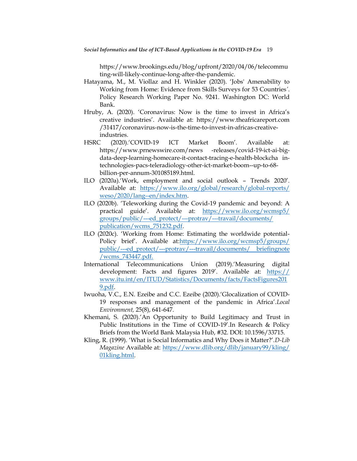https://www.brookings.edu/blog/upfront/2020/04/06/telecommu ting-will-likely-continue-long-after-the-pandemic.

- Hatayama, M., M. Viollaz and H. Winkler (2020). "Jobs' Amenability to Working from Home: Evidence from Skills Surveys for 53 Countries*'*. Policy Research Working Paper No. 9241. Washington DC: World Bank.
- Hruby, A. (2020). 'Coronavirus: Now is the time to invest in Africa's creative industries'. Available at: https://www.theafricareport.com /31417/coronavirus-now-is-the-time-to-invest-in-africas-creativeindustries.
- HSRC (2020).'COVID-19 ICT Market Boom'. Available at: https://www.prnewswire.com/news -releases/covid-19-ict-ai-bigdata-deep-learning-homecare-it-contact-tracing-e-health-blockcha intechnologies-pacs-teleradiology-other-ict-market-boom--up-to-68 billion-per-annum-301085189.html.
- ILO (2020a).'Work, employment and social outlook Trends 2020'. Available at: https://www.ilo.org/global/research/global-reports/ [weso/2020/lang--en/index.htm.](https://www.ilo.org/global/research/global-reports/%20weso/2020/lang--en/index.htm)
- ILO (2020b). "Teleworking during the Covid-19 pandemic and beyond: A practical guide". Available at: [https://www.ilo.org/wcmsp5/](https://www.ilo.org/wcmsp5/%20groups/public/---ed_protect/---protrav/---travail/documents/%20publication/wcms_751232.pdf)  [groups/public/---ed\\_protect/---protrav/---travail/documents/](https://www.ilo.org/wcmsp5/%20groups/public/---ed_protect/---protrav/---travail/documents/%20publication/wcms_751232.pdf)  [publication/wcms\\_751232.pdf.](https://www.ilo.org/wcmsp5/%20groups/public/---ed_protect/---protrav/---travail/documents/%20publication/wcms_751232.pdf)
- ILO (2020c). "Working from Home: Estimating the worldwide potential-Policy brief". Available at[:https://www.ilo.org/wcmsp5/groups/](https://www.ilo.org/wcmsp5/groups/%20public/---ed_protect/---protrav/---travail/documents/%20briefingnote%20/wcms_743447.pdf)  [public/---ed\\_protect/---protrav/---travail/documents/ briefingnote](https://www.ilo.org/wcmsp5/groups/%20public/---ed_protect/---protrav/---travail/documents/%20briefingnote%20/wcms_743447.pdf) [/wcms\\_743447.pdf.](https://www.ilo.org/wcmsp5/groups/%20public/---ed_protect/---protrav/---travail/documents/%20briefingnote%20/wcms_743447.pdf)
- International Telecommunications Union (2019).'Measuring digital development: Facts and figures 2019'. Available at: https:// www.itu.int/en/ITUD/Statistics/Documents/facts/FactsFigures201 9.pdf.
- Iwuoha, V.C., E.N. Ezeibe and C.C. Ezeibe (2020)."Glocalization of COVID-19 responses and management of the pandemic in Africa".*Local Environment,* 25(8), 641-647.
- Khemani, S. (2020).'An Opportunity to Build Legitimacy and Trust in Public Institutions in the Time of COVID-19".In Research & Policy Briefs from the World Bank Malaysia Hub, #32. DOI: 10.1596/33715.
- Kling, R. (1999). "What is Social Informatics and Why Does it Matter?".*D-Lib Magazine* Available at: [https://www.dlib.org/dlib/january99/kling/](https://www.dlib.org/dlib/january99/kling/%2001kling.html)  [01kling.html.](https://www.dlib.org/dlib/january99/kling/%2001kling.html)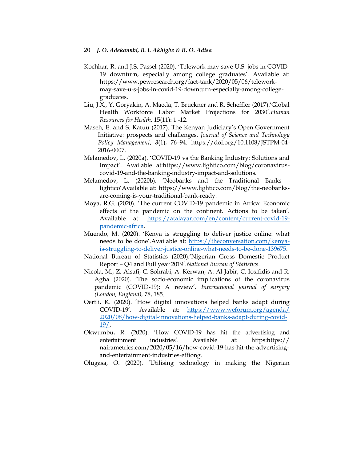- Kochhar, R. and J.S. Passel (2020). "Telework may save U.S. jobs in COVID-19 downturn, especially among college graduates'. Available at: https://www.pewresearch.org/fact-tank/2020/05/06/teleworkmay-save-u-s-jobs-in-covid-19-downturn-especially-among-collegegraduates.
- Liu, J.X., Y. Goryakin, A. Maeda, T. Bruckner and R. Scheffler (2017).'Global Health Workforce Labor Market Projections for 2030".*Human Resources for Health,* 15(11): 1 -12.
- Maseh, E. and S. Katuu (2017). The Kenyan Judiciary"s Open Government Initiative: prospects and challenges. *Journal of Science and Technology Policy Management*, *8*(1), 76–94. https://doi.org/10.1108/JSTPM-04- 2016-0007.
- Melamedov, L. (2020a). "COVID-19 vs the Banking Industry: Solutions and Impact". Available at:https://www.lightico.com/blog/coronaviruscovid-19-and-the-banking-industry-impact-and-solutions.
- Melamedov, L. (2020b). "Neobanks and the Traditional Banks lightico"Available at: https://www.lightico.com/blog/the-neobanksare-coming-is-your-traditional-bank-ready.
- Moya, R.G. (2020). "The current COVID-19 pandemic in Africa: Economic effects of the pandemic on the continent. Actions to be taken'. Available at: [https://atalayar.com/en/content/current-covid-19](https://atalayar.com/en/content/current-covid-19-pandemic-africa) [pandemic-africa.](https://atalayar.com/en/content/current-covid-19-pandemic-africa)
- Muendo, M. (2020). "Kenya is struggling to deliver justice online: what needs to be done".Available at: [https://theconversation.com/kenya](https://theconversation.com/kenya-is-struggling-to-deliver-justice-online-what-needs-to-be-done-139675)[is-struggling-to-deliver-justice-online-what-needs-to-be-done-139675.](https://theconversation.com/kenya-is-struggling-to-deliver-justice-online-what-needs-to-be-done-139675)
- National Bureau of Statistics (2020)."Nigerian Gross Domestic Product Report – Q4 and Full year 2019".*National Bureau of Statistics.*
- Nicola, M., Z. Alsafi, C. Sohrabi, A. Kerwan, A. Al-Jabir, C. Iosifidis and R. Agha (2020). "The socio-economic implications of the coronavirus pandemic (COVID-19): A review'. *International journal of surgery (London, England),* 78, 185.
- Oertli, K. (2020). "How digital innovations helped banks adapt during COVID-19". Available at: [https://www.weforum.org/agenda/](https://www.weforum.org/agenda/%202020/08/how-digital-innovations-helped-banks-adapt-during-covid-19/)  [2020/08/how-digital-innovations-helped-banks-adapt-during-covid-](https://www.weforum.org/agenda/%202020/08/how-digital-innovations-helped-banks-adapt-during-covid-19/)[19/.](https://www.weforum.org/agenda/%202020/08/how-digital-innovations-helped-banks-adapt-during-covid-19/)
- Okwumbu, R. (2020). "How COVID-19 has hit the advertising and entertainment industries'. Available at: [https:h](https://nairametrics.com/2020/05/16/how-covid-19-has-hit-the-advertising-and-entertainment-industries-effiong/)ttps:// nairametrics.com/2020/05/16/how-covid-19-has-hit-the-advertisingand-entertainment-industries-effiong.
- Olugasa, O. (2020). "Utilising technology in making the Nigerian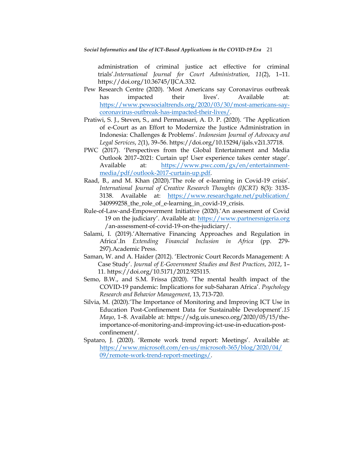administration of criminal justice act effective for criminal trials".*International Journal for Court Administration*, *11*(2), 1–11. https://doi.org/10.36745/IJCA.332.

- Pew Research Centre (2020). "Most Americans say Coronavirus outbreak has impacted their lives'. Available at: [https://www.pewsocialtrends.org/2020/03/30/most-americans-say](https://www.pewsocialtrends.org/2020/03/30/most-americans-say-coronavirus-outbreak-has-impacted-their-lives/)[coronavirus-outbreak-has-impacted-their-lives/.](https://www.pewsocialtrends.org/2020/03/30/most-americans-say-coronavirus-outbreak-has-impacted-their-lives/)
- Pratiwi, S. J., Steven, S., and Permatasari, A. D. P. (2020). "The Application of e-Court as an Effort to Modernize the Justice Administration in Indonesia: Challenges & Problems". *Indonesian Journal of Advocacy and Legal Services*, *2*(1), 39–56. https://doi.org/10.15294/ijals.v2i1.37718.
- PWC (2017). 'Perspectives from the Global Entertainment and Media Outlook 2017–2021: Curtain up! User experience takes center stage". Available at: [https://www.pwc.com/gx/en/entertainment](https://www.pwc.com/gx/en/entertainment-media/pdf/outlook-2017-curtain-up.pdf)[media/pdf/outlook-2017-curtain-up.pdf.](https://www.pwc.com/gx/en/entertainment-media/pdf/outlook-2017-curtain-up.pdf)
- Raad, B., and M. Khan (2020). The role of e-learning in Covid-19 crisis'. *International Journal of Creative Research Thoughts (IJCRT)* 8(3): 3135- 3138. Available at: <https://www.researchgate.net/publication/> 340999258\_the\_role\_of\_e-learning\_in\_covid-19\_crisis.
- Rule-of-Law-and-Empowerment Initiative (2020).'An assessment of Covid 19 on the judiciary". Available at: [https://www.partnersnigeria.org](https://www.partnersnigeria.org/) /an-assessment-of-covid-19-on-the-judiciary/.
- Salami, I. (2019).'Alternative Financing Approaches and Regulation in Africa".In *Extending Financial Inclusion in Africa* (pp. 279- 297).Academic Press.
- Saman, W. and A. Haider (2012). "Electronic Court Records Management: A Case Study". *Journal of E-Government Studies and Best Practices*, *2012*, 1– 11. https://doi.org/10.5171/2012.925115.
- Semo, B.W., and S.M. Frissa (2020). "The mental health impact of the COVID-19 pandemic: Implications for sub-Saharan Africa". *Psychology Research and Behavior Management*, 13, 713-720.
- Silvia, M. (2020)."The Importance of Monitoring and Improving ICT Use in Education Post-Confinement Data for Sustainable Development".*15 Mayo*, 1–8. Available at: https://sdg.uis.unesco.org/2020/05/15/theimportance-of-monitoring-and-improving-ict-use-in-education-postconfinement/.
- Spataro, J. (2020). 'Remote work trend report: Meetings'. Available at: [https://www.microsoft.com/en-us/microsoft-365/blog/2020/04/](https://www.microsoft.com/en-us/microsoft-365/blog/2020/04/%2009/remote-work-trend-report-meetings/)  [09/remote-work-trend-report-meetings/.](https://www.microsoft.com/en-us/microsoft-365/blog/2020/04/%2009/remote-work-trend-report-meetings/)